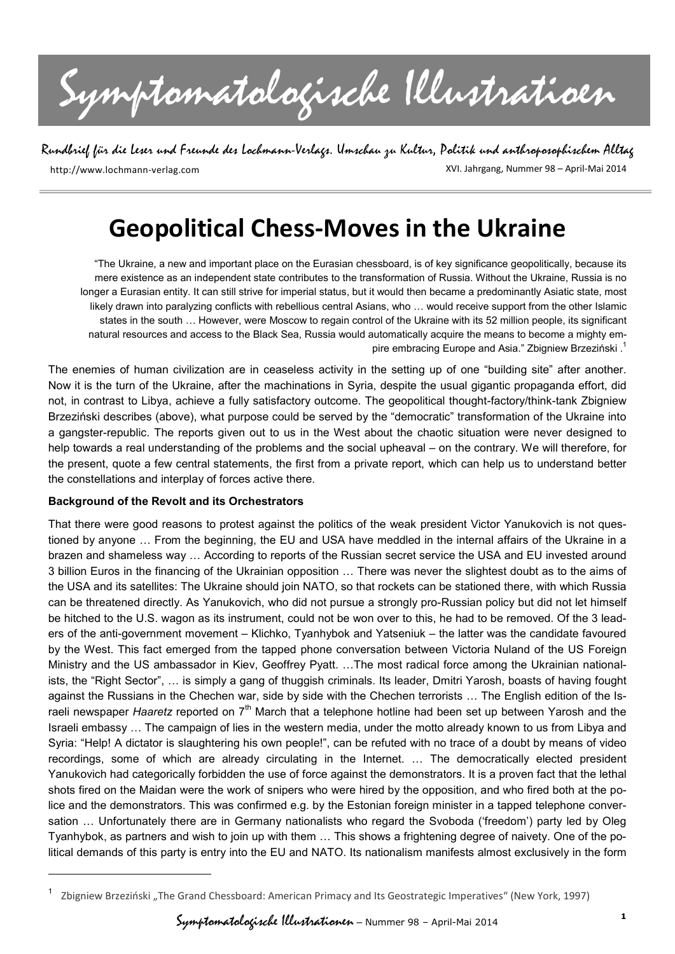Symptomatologische Illustratioen

Rundbrief für die Leser und Freunde des Lochmann-Verlags. Umschau zu Kultur, Politik und anthroposophischem Alltag

http://www.lochmann-verlag.com

XVI. Jahrgang, Nummer 98 – April-Mai 2014

# **Geopolitical Chess-Moves in the Ukraine**

"The Ukraine, a new and important place on the Eurasian chessboard, is of key significance geopolitically, because its mere existence as an independent state contributes to the transformation of Russia. Without the Ukraine, Russia is no longer a Eurasian entity. It can still strive for imperial status, but it would then became a predominantly Asiatic state, most likely drawn into paralyzing conflicts with rebellious central Asians, who … would receive support from the other Islamic states in the south … However, were Moscow to regain control of the Ukraine with its 52 million people, its significant natural resources and access to the Black Sea, Russia would automatically acquire the means to become a mighty empire embracing Europe and Asia." Zbigniew Brzeziński.<sup>1</sup>

The enemies of human civilization are in ceaseless activity in the setting up of one "building site" after another. Now it is the turn of the Ukraine, after the machinations in Syria, despite the usual gigantic propaganda effort, did not, in contrast to Libya, achieve a fully satisfactory outcome. The geopolitical thought-factory/think-tank Zbigniew Brzeziński describes (above), what purpose could be served by the "democratic" transformation of the Ukraine into a gangster-republic. The reports given out to us in the West about the chaotic situation were never designed to help towards a real understanding of the problems and the social upheaval – on the contrary. We will therefore, for the present, quote a few central statements, the first from a private report, which can help us to understand better the constellations and interplay of forces active there.

## **Background of the Revolt and its Orchestrators**

-

That there were good reasons to protest against the politics of the weak president Victor Yanukovich is not questioned by anyone … From the beginning, the EU and USA have meddled in the internal affairs of the Ukraine in a brazen and shameless way … According to reports of the Russian secret service the USA and EU invested around 3 billion Euros in the financing of the Ukrainian opposition … There was never the slightest doubt as to the aims of the USA and its satellites: The Ukraine should join NATO, so that rockets can be stationed there, with which Russia can be threatened directly. As Yanukovich, who did not pursue a strongly pro-Russian policy but did not let himself be hitched to the U.S. wagon as its instrument, could not be won over to this, he had to be removed. Of the 3 leaders of the anti-government movement – Klichko, Tyanhybok and Yatseniuk – the latter was the candidate favoured by the West. This fact emerged from the tapped phone conversation between Victoria Nuland of the US Foreign Ministry and the US ambassador in Kiev, Geoffrey Pyatt. …The most radical force among the Ukrainian nationalists, the "Right Sector", … is simply a gang of thuggish criminals. Its leader, Dmitri Yarosh, boasts of having fought against the Russians in the Chechen war, side by side with the Chechen terrorists … The English edition of the Israeli newspaper *Haaretz* reported on 7<sup>th</sup> March that a telephone hotline had been set up between Yarosh and the Israeli embassy … The campaign of lies in the western media, under the motto already known to us from Libya and Syria: "Help! A dictator is slaughtering his own people!", can be refuted with no trace of a doubt by means of video recordings, some of which are already circulating in the Internet. … The democratically elected president Yanukovich had categorically forbidden the use of force against the demonstrators. It is a proven fact that the lethal shots fired on the Maidan were the work of snipers who were hired by the opposition, and who fired both at the police and the demonstrators. This was confirmed e.g. by the Estonian foreign minister in a tapped telephone conversation … Unfortunately there are in Germany nationalists who regard the Svoboda ('freedom') party led by Oleg Tyanhybok, as partners and wish to join up with them … This shows a frightening degree of naivety. One of the political demands of this party is entry into the EU and NATO. Its nationalism manifests almost exclusively in the form

Zbigniew Brzeziński "The Grand Chessboard: American Primacy and Its Geostrategic Imperatives" (New York, 1997)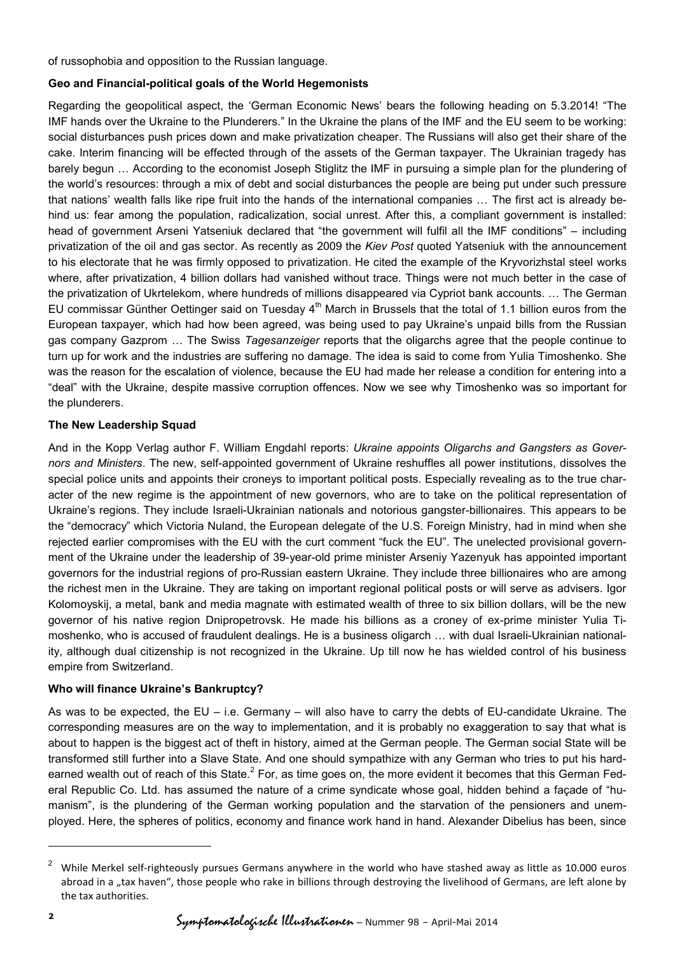of russophobia and opposition to the Russian language.

## **Geo and Financial-political goals of the World Hegemonists**

Regarding the geopolitical aspect, the 'German Economic News' bears the following heading on 5.3.2014! "The IMF hands over the Ukraine to the Plunderers." In the Ukraine the plans of the IMF and the EU seem to be working: social disturbances push prices down and make privatization cheaper. The Russians will also get their share of the cake. Interim financing will be effected through of the assets of the German taxpayer. The Ukrainian tragedy has barely begun … According to the economist Joseph Stiglitz the IMF in pursuing a simple plan for the plundering of the world's resources: through a mix of debt and social disturbances the people are being put under such pressure that nations' wealth falls like ripe fruit into the hands of the international companies … The first act is already behind us: fear among the population, radicalization, social unrest. After this, a compliant government is installed: head of government Arseni Yatseniuk declared that "the government will fulfil all the IMF conditions" – including privatization of the oil and gas sector. As recently as 2009 the *Kiev Post* quoted Yatseniuk with the announcement to his electorate that he was firmly opposed to privatization. He cited the example of the Kryvorizhstal steel works where, after privatization, 4 billion dollars had vanished without trace. Things were not much better in the case of the privatization of Ukrtelekom, where hundreds of millions disappeared via Cypriot bank accounts. … The German EU commissar Günther Oettinger said on Tuesday 4<sup>th</sup> March in Brussels that the total of 1.1 billion euros from the European taxpayer, which had how been agreed, was being used to pay Ukraine's unpaid bills from the Russian gas company Gazprom … The Swiss *Tagesanzeiger* reports that the oligarchs agree that the people continue to turn up for work and the industries are suffering no damage. The idea is said to come from Yulia Timoshenko. She was the reason for the escalation of violence, because the EU had made her release a condition for entering into a "deal" with the Ukraine, despite massive corruption offences. Now we see why Timoshenko was so important for the plunderers.

## **The New Leadership Squad**

And in the Kopp Verlag author F. William Engdahl reports: *Ukraine appoints Oligarchs and Gangsters as Governors and Ministers*. The new, self-appointed government of Ukraine reshuffles all power institutions, dissolves the special police units and appoints their croneys to important political posts. Especially revealing as to the true character of the new regime is the appointment of new governors, who are to take on the political representation of Ukraine's regions. They include Israeli-Ukrainian nationals and notorious gangster-billionaires. This appears to be the "democracy" which Victoria Nuland, the European delegate of the U.S. Foreign Ministry, had in mind when she rejected earlier compromises with the EU with the curt comment "fuck the EU". The unelected provisional government of the Ukraine under the leadership of 39-year-old prime minister Arseniy Yazenyuk has appointed important governors for the industrial regions of pro-Russian eastern Ukraine. They include three billionaires who are among the richest men in the Ukraine. They are taking on important regional political posts or will serve as advisers. Igor Kolomoyskij, a metal, bank and media magnate with estimated wealth of three to six billion dollars, will be the new governor of his native region Dnipropetrovsk. He made his billions as a croney of ex-prime minister Yulia Timoshenko, who is accused of fraudulent dealings. He is a business oligarch … with dual Israeli-Ukrainian nationality, although dual citizenship is not recognized in the Ukraine. Up till now he has wielded control of his business empire from Switzerland.

#### **Who will finance Ukraine's Bankruptcy?**

As was to be expected, the EU – i.e. Germany – will also have to carry the debts of EU-candidate Ukraine. The corresponding measures are on the way to implementation, and it is probably no exaggeration to say that what is about to happen is the biggest act of theft in history, aimed at the German people. The German social State will be transformed still further into a Slave State. And one should sympathize with any German who tries to put his hardearned wealth out of reach of this State.<sup>2</sup> For, as time goes on, the more evident it becomes that this German Federal Republic Co. Ltd. has assumed the nature of a crime syndicate whose goal, hidden behind a façade of "humanism", is the plundering of the German working population and the starvation of the pensioners and unemployed. Here, the spheres of politics, economy and finance work hand in hand. Alexander Dibelius has been, since

-

<sup>2</sup> While Merkel self-righteously pursues Germans anywhere in the world who have stashed away as little as 10.000 euros abroad in a "tax haven", those people who rake in billions through destroying the livelihood of Germans, are left alone by the tax authorities.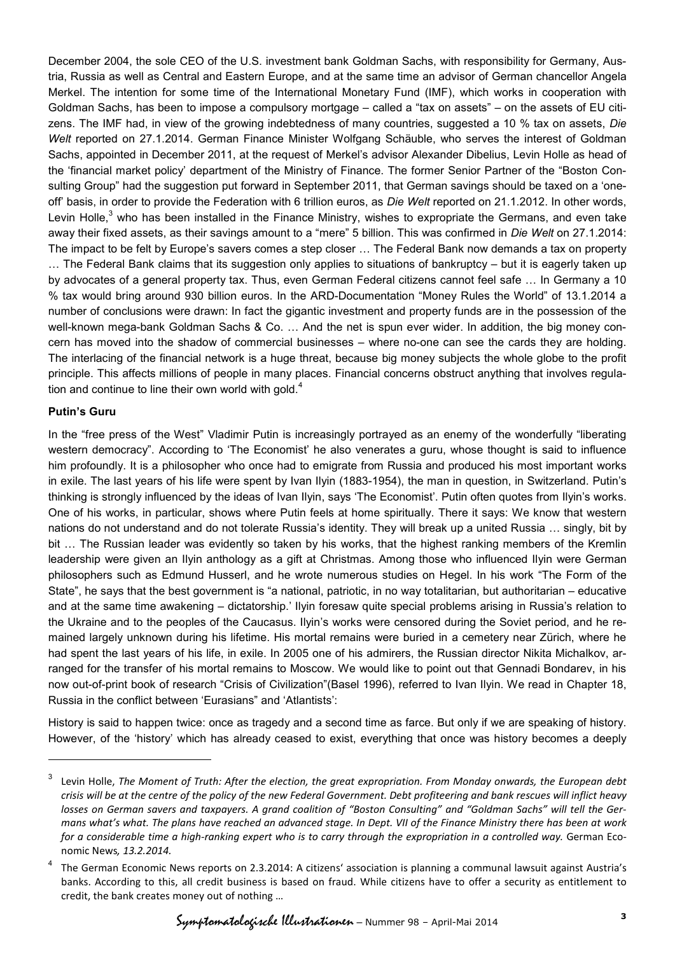December 2004, the sole CEO of the U.S. investment bank Goldman Sachs, with responsibility for Germany, Austria, Russia as well as Central and Eastern Europe, and at the same time an advisor of German chancellor Angela Merkel. The intention for some time of the International Monetary Fund (IMF), which works in cooperation with Goldman Sachs, has been to impose a compulsory mortgage – called a "tax on assets" – on the assets of EU citizens. The IMF had, in view of the growing indebtedness of many countries, suggested a 10 % tax on assets, *Die Welt* reported on 27.1.2014. German Finance Minister Wolfgang Schäuble, who serves the interest of Goldman Sachs, appointed in December 2011, at the request of Merkel's advisor Alexander Dibelius, Levin Holle as head of the 'financial market policy' department of the Ministry of Finance. The former Senior Partner of the "Boston Consulting Group" had the suggestion put forward in September 2011, that German savings should be taxed on a 'oneoff' basis, in order to provide the Federation with 6 trillion euros, as *Die Welt* reported on 21.1.2012. In other words, Levin Holle, $3$  who has been installed in the Finance Ministry, wishes to expropriate the Germans, and even take away their fixed assets, as their savings amount to a "mere" 5 billion. This was confirmed in *Die Welt* on 27.1.2014: The impact to be felt by Europe's savers comes a step closer … The Federal Bank now demands a tax on property … The Federal Bank claims that its suggestion only applies to situations of bankruptcy – but it is eagerly taken up by advocates of a general property tax. Thus, even German Federal citizens cannot feel safe … In Germany a 10 % tax would bring around 930 billion euros. In the ARD-Documentation "Money Rules the World" of 13.1.2014 a number of conclusions were drawn: In fact the gigantic investment and property funds are in the possession of the well-known mega-bank Goldman Sachs & Co. … And the net is spun ever wider. In addition, the big money concern has moved into the shadow of commercial businesses – where no-one can see the cards they are holding. The interlacing of the financial network is a huge threat, because big money subjects the whole globe to the profit principle. This affects millions of people in many places. Financial concerns obstruct anything that involves regulation and continue to line their own world with gold. $4$ 

#### **Putin's Guru**

-

In the "free press of the West" Vladimir Putin is increasingly portrayed as an enemy of the wonderfully "liberating western democracy". According to 'The Economist' he also venerates a guru, whose thought is said to influence him profoundly. It is a philosopher who once had to emigrate from Russia and produced his most important works in exile. The last years of his life were spent by Ivan Ilyin (1883-1954), the man in question, in Switzerland. Putin's thinking is strongly influenced by the ideas of Ivan Ilyin, says 'The Economist'. Putin often quotes from Ilyin's works. One of his works, in particular, shows where Putin feels at home spiritually. There it says: We know that western nations do not understand and do not tolerate Russia's identity. They will break up a united Russia … singly, bit by bit … The Russian leader was evidently so taken by his works, that the highest ranking members of the Kremlin leadership were given an Ilyin anthology as a gift at Christmas. Among those who influenced Ilyin were German philosophers such as Edmund Husserl, and he wrote numerous studies on Hegel. In his work "The Form of the State", he says that the best government is "a national, patriotic, in no way totalitarian, but authoritarian – educative and at the same time awakening – dictatorship.' Ilyin foresaw quite special problems arising in Russia's relation to the Ukraine and to the peoples of the Caucasus. Ilyin's works were censored during the Soviet period, and he remained largely unknown during his lifetime. His mortal remains were buried in a cemetery near Zürich, where he had spent the last years of his life, in exile. In 2005 one of his admirers, the Russian director Nikita Michalkov, arranged for the transfer of his mortal remains to Moscow. We would like to point out that Gennadi Bondarev, in his now out-of-print book of research "Crisis of Civilization"(Basel 1996), referred to Ivan Ilyin. We read in Chapter 18, Russia in the conflict between 'Eurasians" and 'Atlantists':

History is said to happen twice: once as tragedy and a second time as farce. But only if we are speaking of history. However, of the 'history' which has already ceased to exist, everything that once was history becomes a deeply

<sup>3</sup> Levin Holle, *The Moment of Truth: After the election, the great expropriation. From Monday onwards, the European debt crisis will be at the centre of the policy of the new Federal Government. Debt profiteering and bank rescues will inflict heavy losses on German savers and taxpayers. A grand coalition of "Boston Consulting" and "Goldman Sachs" will tell the Germans what's what. The plans have reached an advanced stage. In Dept. VII of the Finance Ministry there has been at work for a considerable time a high-ranking expert who is to carry through the expropriation in a controlled way.* German Economic News*, 13.2.2014.*

<sup>4</sup> The German Economic News reports on 2.3.2014: A citizens' association is planning a communal lawsuit against Austria's banks. According to this, all credit business is based on fraud. While citizens have to offer a security as entitlement to credit, the bank creates money out of nothing …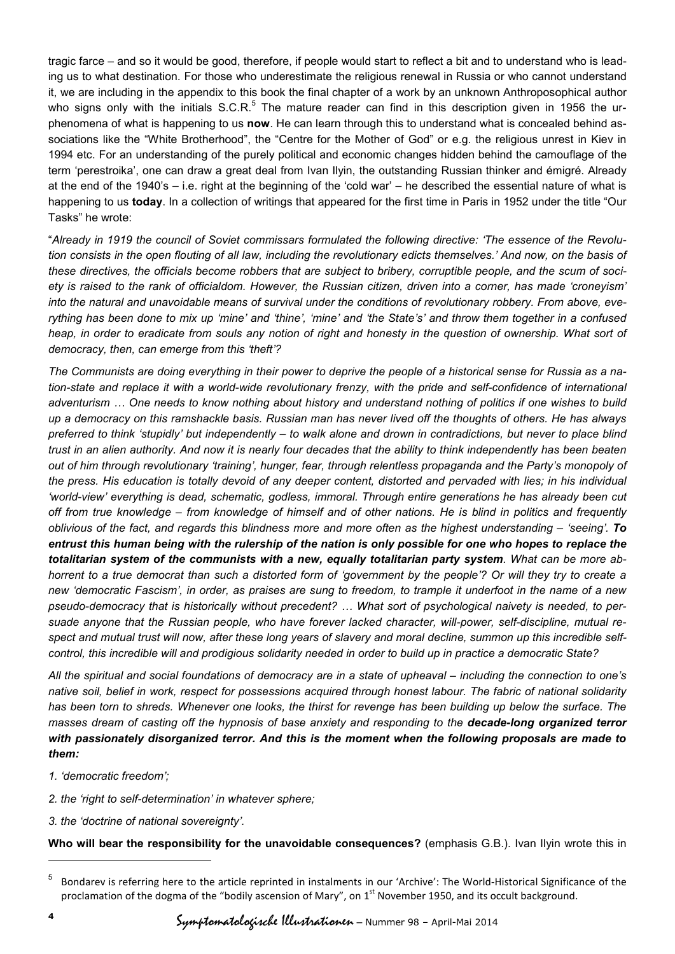tragic farce – and so it would be good, therefore, if people would start to reflect a bit and to understand who is leading us to what destination. For those who underestimate the religious renewal in Russia or who cannot understand it, we are including in the appendix to this book the final chapter of a work by an unknown Anthroposophical author who signs only with the initials  $S.C.R.<sup>5</sup>$  The mature reader can find in this description given in 1956 the urphenomena of what is happening to us **now**. He can learn through this to understand what is concealed behind associations like the "White Brotherhood", the "Centre for the Mother of God" or e.g. the religious unrest in Kiev in 1994 etc. For an understanding of the purely political and economic changes hidden behind the camouflage of the term 'perestroika', one can draw a great deal from Ivan Ilyin, the outstanding Russian thinker and émigré. Already at the end of the 1940's – i.e. right at the beginning of the 'cold war' – he described the essential nature of what is happening to us **today**. In a collection of writings that appeared for the first time in Paris in 1952 under the title "Our Tasks" he wrote:

"*Already in 1919 the council of Soviet commissars formulated the following directive: 'The essence of the Revolution consists in the open flouting of all law, including the revolutionary edicts themselves.' And now, on the basis of these directives, the officials become robbers that are subject to bribery, corruptible people, and the scum of society is raised to the rank of officialdom. However, the Russian citizen, driven into a corner, has made 'croneyism' into the natural and unavoidable means of survival under the conditions of revolutionary robbery. From above, everything has been done to mix up 'mine' and 'thine', 'mine' and 'the State's' and throw them together in a confused*  heap, in order to eradicate from souls any notion of right and honesty in the question of ownership. What sort of *democracy, then, can emerge from this 'theft'?*

*The Communists are doing everything in their power to deprive the people of a historical sense for Russia as a nation-state and replace it with a world-wide revolutionary frenzy, with the pride and self-confidence of international adventurism … One needs to know nothing about history and understand nothing of politics if one wishes to build up a democracy on this ramshackle basis. Russian man has never lived off the thoughts of others. He has always preferred to think 'stupidly' but independently – to walk alone and drown in contradictions, but never to place blind trust in an alien authority. And now it is nearly four decades that the ability to think independently has been beaten out of him through revolutionary 'training', hunger, fear, through relentless propaganda and the Party's monopoly of the press. His education is totally devoid of any deeper content, distorted and pervaded with lies; in his individual 'world-view' everything is dead, schematic, godless, immoral. Through entire generations he has already been cut off from true knowledge – from knowledge of himself and of other nations. He is blind in politics and frequently oblivious of the fact, and regards this blindness more and more often as the highest understanding – 'seeing'. To entrust this human being with the rulership of the nation is only possible for one who hopes to replace the totalitarian system of the communists with a new, equally totalitarian party system. What can be more abhorrent to a true democrat than such a distorted form of 'government by the people'? Or will they try to create a new 'democratic Fascism', in order, as praises are sung to freedom, to trample it underfoot in the name of a new pseudo-democracy that is historically without precedent? … What sort of psychological naivety is needed, to persuade anyone that the Russian people, who have forever lacked character, will-power, self-discipline, mutual respect and mutual trust will now, after these long years of slavery and moral decline, summon up this incredible selfcontrol, this incredible will and prodigious solidarity needed in order to build up in practice a democratic State?*

*All the spiritual and social foundations of democracy are in a state of upheaval – including the connection to one's native soil, belief in work, respect for possessions acquired through honest labour. The fabric of national solidarity has been torn to shreds. Whenever one looks, the thirst for revenge has been building up below the surface. The masses dream of casting off the hypnosis of base anxiety and responding to the decade-long organized terror with passionately disorganized terror. And this is the moment when the following proposals are made to them:*

*1. 'democratic freedom';*

*2. the 'right to self-determination' in whatever sphere;*

*3. the 'doctrine of national sovereignty'.*

**Who will bear the responsibility for the unavoidable consequences?** (emphasis G.B.). Ivan Ilyin wrote this in

-

<sup>5</sup> Bondarev is referring here to the article reprinted in instalments in our 'Archive': The World-Historical Significance of the proclamation of the dogma of the "bodily ascension of Mary", on 1<sup>st</sup> November 1950, and its occult background.